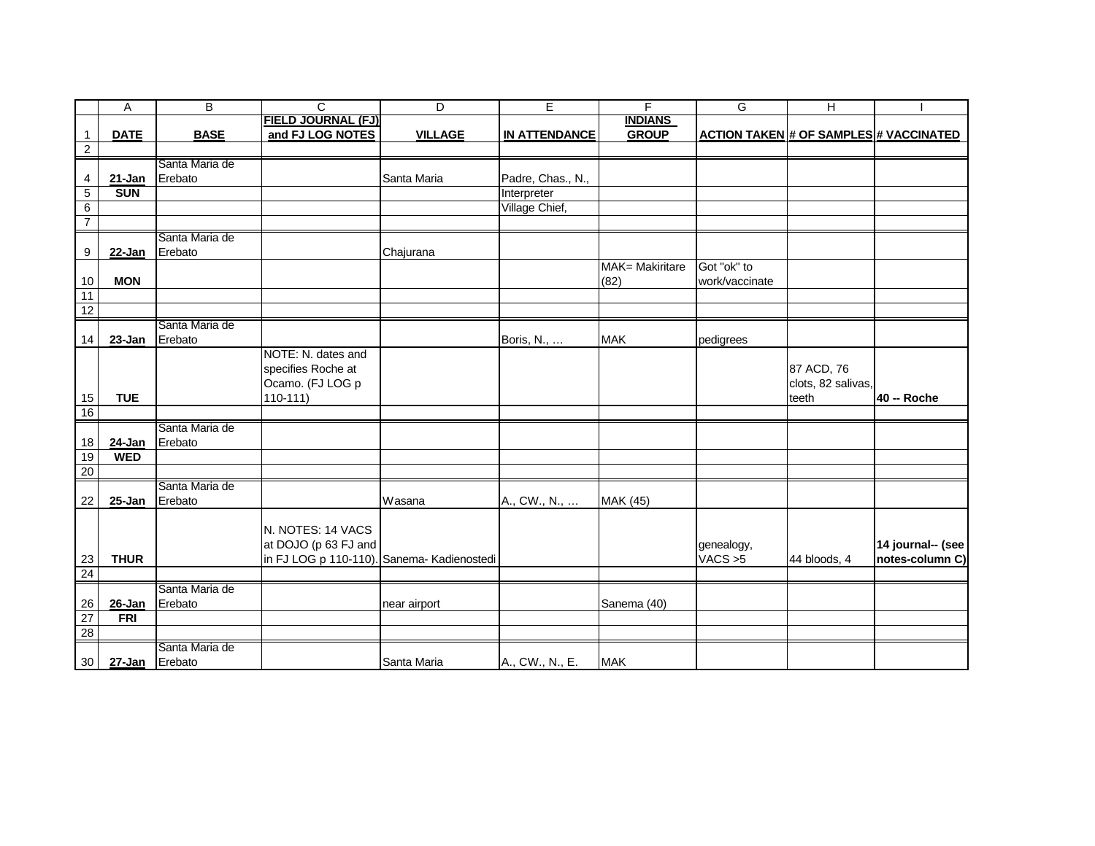| FIELD JOURNAL (FJ)<br><b>GROUP</b><br>and FJ LOG NOTES<br><b>BASE</b><br><b>VILLAGE</b><br><b>ACTION TAKEN # OF SAMPLES # VACCINATED</b><br><b>DATE</b><br><b>IN ATTENDANCE</b><br>$\mathbf{1}$<br>$\overline{2}$<br>Santa Maria de<br>Erebato<br>Santa Maria<br>Padre, Chas., N.,<br>21-Jan<br>4<br>5<br><b>SUN</b><br>Interpreter<br>6<br>Village Chief,<br>$\overline{7}$<br>Santa Maria de<br>9<br>22-Jan<br>Erebato<br>Chajurana<br>Got "ok" to<br>MAK= Makiritare<br>(82)<br>work/vaccinate<br><b>MON</b><br>10<br>$\overline{11}$<br>12<br>Santa Maria de<br>Erebato<br>23-Jan<br><b>MAK</b><br>14<br>Boris, N.,<br>pedigrees<br>NOTE: N. dates and<br>specifies Roche at<br>87 ACD, 76<br>Ocamo. (FJ LOG p<br>clots, 82 salivas,<br>teeth<br>15<br><b>TUE</b><br>$110-111$<br>40 -- Roche<br>16<br>Santa Maria de<br>$24$ -Jan<br>Erebato<br>18<br><b>WED</b><br>19<br>$\overline{20}$<br>Santa Maria de<br>Erebato<br>22<br>25-Jan<br>MAK (45)<br>Wasana<br>A., CW., N.,<br>N. NOTES: 14 VACS<br>14 journal-- (see<br>at DOJO (p 63 FJ and<br>genealogy,<br><b>THUR</b><br>in FJ LOG p 110-110). Sanema- Kadienostedi<br>VACS > 5<br>notes-column C)<br>23<br>44 bloods, 4<br>24<br>Santa Maria de<br>Erebato<br>26<br>$26 - Jan$<br>near airport<br>Sanema (40)<br>$\overline{27}$<br><b>FRI</b><br>28<br>Santa Maria de |    | Α              | B | $\mathsf{C}$ | $\overline{D}$ | E               | $\overline{\mathsf{F}}$ | G | $\overline{H}$ |  |
|------------------------------------------------------------------------------------------------------------------------------------------------------------------------------------------------------------------------------------------------------------------------------------------------------------------------------------------------------------------------------------------------------------------------------------------------------------------------------------------------------------------------------------------------------------------------------------------------------------------------------------------------------------------------------------------------------------------------------------------------------------------------------------------------------------------------------------------------------------------------------------------------------------------------------------------------------------------------------------------------------------------------------------------------------------------------------------------------------------------------------------------------------------------------------------------------------------------------------------------------------------------------------------------------------------------------------------|----|----------------|---|--------------|----------------|-----------------|-------------------------|---|----------------|--|
|                                                                                                                                                                                                                                                                                                                                                                                                                                                                                                                                                                                                                                                                                                                                                                                                                                                                                                                                                                                                                                                                                                                                                                                                                                                                                                                                    |    |                |   |              |                |                 | <b>INDIANS</b>          |   |                |  |
|                                                                                                                                                                                                                                                                                                                                                                                                                                                                                                                                                                                                                                                                                                                                                                                                                                                                                                                                                                                                                                                                                                                                                                                                                                                                                                                                    |    |                |   |              |                |                 |                         |   |                |  |
|                                                                                                                                                                                                                                                                                                                                                                                                                                                                                                                                                                                                                                                                                                                                                                                                                                                                                                                                                                                                                                                                                                                                                                                                                                                                                                                                    |    |                |   |              |                |                 |                         |   |                |  |
|                                                                                                                                                                                                                                                                                                                                                                                                                                                                                                                                                                                                                                                                                                                                                                                                                                                                                                                                                                                                                                                                                                                                                                                                                                                                                                                                    |    |                |   |              |                |                 |                         |   |                |  |
|                                                                                                                                                                                                                                                                                                                                                                                                                                                                                                                                                                                                                                                                                                                                                                                                                                                                                                                                                                                                                                                                                                                                                                                                                                                                                                                                    |    |                |   |              |                |                 |                         |   |                |  |
|                                                                                                                                                                                                                                                                                                                                                                                                                                                                                                                                                                                                                                                                                                                                                                                                                                                                                                                                                                                                                                                                                                                                                                                                                                                                                                                                    |    |                |   |              |                |                 |                         |   |                |  |
|                                                                                                                                                                                                                                                                                                                                                                                                                                                                                                                                                                                                                                                                                                                                                                                                                                                                                                                                                                                                                                                                                                                                                                                                                                                                                                                                    |    |                |   |              |                |                 |                         |   |                |  |
|                                                                                                                                                                                                                                                                                                                                                                                                                                                                                                                                                                                                                                                                                                                                                                                                                                                                                                                                                                                                                                                                                                                                                                                                                                                                                                                                    |    |                |   |              |                |                 |                         |   |                |  |
|                                                                                                                                                                                                                                                                                                                                                                                                                                                                                                                                                                                                                                                                                                                                                                                                                                                                                                                                                                                                                                                                                                                                                                                                                                                                                                                                    |    |                |   |              |                |                 |                         |   |                |  |
|                                                                                                                                                                                                                                                                                                                                                                                                                                                                                                                                                                                                                                                                                                                                                                                                                                                                                                                                                                                                                                                                                                                                                                                                                                                                                                                                    |    |                |   |              |                |                 |                         |   |                |  |
|                                                                                                                                                                                                                                                                                                                                                                                                                                                                                                                                                                                                                                                                                                                                                                                                                                                                                                                                                                                                                                                                                                                                                                                                                                                                                                                                    |    |                |   |              |                |                 |                         |   |                |  |
|                                                                                                                                                                                                                                                                                                                                                                                                                                                                                                                                                                                                                                                                                                                                                                                                                                                                                                                                                                                                                                                                                                                                                                                                                                                                                                                                    |    |                |   |              |                |                 |                         |   |                |  |
|                                                                                                                                                                                                                                                                                                                                                                                                                                                                                                                                                                                                                                                                                                                                                                                                                                                                                                                                                                                                                                                                                                                                                                                                                                                                                                                                    |    |                |   |              |                |                 |                         |   |                |  |
|                                                                                                                                                                                                                                                                                                                                                                                                                                                                                                                                                                                                                                                                                                                                                                                                                                                                                                                                                                                                                                                                                                                                                                                                                                                                                                                                    |    |                |   |              |                |                 |                         |   |                |  |
|                                                                                                                                                                                                                                                                                                                                                                                                                                                                                                                                                                                                                                                                                                                                                                                                                                                                                                                                                                                                                                                                                                                                                                                                                                                                                                                                    |    |                |   |              |                |                 |                         |   |                |  |
|                                                                                                                                                                                                                                                                                                                                                                                                                                                                                                                                                                                                                                                                                                                                                                                                                                                                                                                                                                                                                                                                                                                                                                                                                                                                                                                                    |    |                |   |              |                |                 |                         |   |                |  |
|                                                                                                                                                                                                                                                                                                                                                                                                                                                                                                                                                                                                                                                                                                                                                                                                                                                                                                                                                                                                                                                                                                                                                                                                                                                                                                                                    |    |                |   |              |                |                 |                         |   |                |  |
|                                                                                                                                                                                                                                                                                                                                                                                                                                                                                                                                                                                                                                                                                                                                                                                                                                                                                                                                                                                                                                                                                                                                                                                                                                                                                                                                    |    |                |   |              |                |                 |                         |   |                |  |
|                                                                                                                                                                                                                                                                                                                                                                                                                                                                                                                                                                                                                                                                                                                                                                                                                                                                                                                                                                                                                                                                                                                                                                                                                                                                                                                                    |    |                |   |              |                |                 |                         |   |                |  |
|                                                                                                                                                                                                                                                                                                                                                                                                                                                                                                                                                                                                                                                                                                                                                                                                                                                                                                                                                                                                                                                                                                                                                                                                                                                                                                                                    |    |                |   |              |                |                 |                         |   |                |  |
|                                                                                                                                                                                                                                                                                                                                                                                                                                                                                                                                                                                                                                                                                                                                                                                                                                                                                                                                                                                                                                                                                                                                                                                                                                                                                                                                    |    |                |   |              |                |                 |                         |   |                |  |
|                                                                                                                                                                                                                                                                                                                                                                                                                                                                                                                                                                                                                                                                                                                                                                                                                                                                                                                                                                                                                                                                                                                                                                                                                                                                                                                                    |    |                |   |              |                |                 |                         |   |                |  |
|                                                                                                                                                                                                                                                                                                                                                                                                                                                                                                                                                                                                                                                                                                                                                                                                                                                                                                                                                                                                                                                                                                                                                                                                                                                                                                                                    |    |                |   |              |                |                 |                         |   |                |  |
|                                                                                                                                                                                                                                                                                                                                                                                                                                                                                                                                                                                                                                                                                                                                                                                                                                                                                                                                                                                                                                                                                                                                                                                                                                                                                                                                    |    |                |   |              |                |                 |                         |   |                |  |
|                                                                                                                                                                                                                                                                                                                                                                                                                                                                                                                                                                                                                                                                                                                                                                                                                                                                                                                                                                                                                                                                                                                                                                                                                                                                                                                                    |    |                |   |              |                |                 |                         |   |                |  |
|                                                                                                                                                                                                                                                                                                                                                                                                                                                                                                                                                                                                                                                                                                                                                                                                                                                                                                                                                                                                                                                                                                                                                                                                                                                                                                                                    |    |                |   |              |                |                 |                         |   |                |  |
|                                                                                                                                                                                                                                                                                                                                                                                                                                                                                                                                                                                                                                                                                                                                                                                                                                                                                                                                                                                                                                                                                                                                                                                                                                                                                                                                    |    |                |   |              |                |                 |                         |   |                |  |
|                                                                                                                                                                                                                                                                                                                                                                                                                                                                                                                                                                                                                                                                                                                                                                                                                                                                                                                                                                                                                                                                                                                                                                                                                                                                                                                                    |    |                |   |              |                |                 |                         |   |                |  |
|                                                                                                                                                                                                                                                                                                                                                                                                                                                                                                                                                                                                                                                                                                                                                                                                                                                                                                                                                                                                                                                                                                                                                                                                                                                                                                                                    |    |                |   |              |                |                 |                         |   |                |  |
|                                                                                                                                                                                                                                                                                                                                                                                                                                                                                                                                                                                                                                                                                                                                                                                                                                                                                                                                                                                                                                                                                                                                                                                                                                                                                                                                    |    |                |   |              |                |                 |                         |   |                |  |
|                                                                                                                                                                                                                                                                                                                                                                                                                                                                                                                                                                                                                                                                                                                                                                                                                                                                                                                                                                                                                                                                                                                                                                                                                                                                                                                                    |    |                |   |              |                |                 |                         |   |                |  |
|                                                                                                                                                                                                                                                                                                                                                                                                                                                                                                                                                                                                                                                                                                                                                                                                                                                                                                                                                                                                                                                                                                                                                                                                                                                                                                                                    |    |                |   |              |                |                 |                         |   |                |  |
|                                                                                                                                                                                                                                                                                                                                                                                                                                                                                                                                                                                                                                                                                                                                                                                                                                                                                                                                                                                                                                                                                                                                                                                                                                                                                                                                    |    |                |   |              |                |                 |                         |   |                |  |
|                                                                                                                                                                                                                                                                                                                                                                                                                                                                                                                                                                                                                                                                                                                                                                                                                                                                                                                                                                                                                                                                                                                                                                                                                                                                                                                                    |    |                |   |              |                |                 |                         |   |                |  |
|                                                                                                                                                                                                                                                                                                                                                                                                                                                                                                                                                                                                                                                                                                                                                                                                                                                                                                                                                                                                                                                                                                                                                                                                                                                                                                                                    |    |                |   |              |                |                 |                         |   |                |  |
|                                                                                                                                                                                                                                                                                                                                                                                                                                                                                                                                                                                                                                                                                                                                                                                                                                                                                                                                                                                                                                                                                                                                                                                                                                                                                                                                    |    |                |   |              |                |                 |                         |   |                |  |
|                                                                                                                                                                                                                                                                                                                                                                                                                                                                                                                                                                                                                                                                                                                                                                                                                                                                                                                                                                                                                                                                                                                                                                                                                                                                                                                                    |    |                |   |              |                |                 |                         |   |                |  |
|                                                                                                                                                                                                                                                                                                                                                                                                                                                                                                                                                                                                                                                                                                                                                                                                                                                                                                                                                                                                                                                                                                                                                                                                                                                                                                                                    | 30 | 27-Jan Erebato |   |              | Santa Maria    | A., CW., N., E. | <b>MAK</b>              |   |                |  |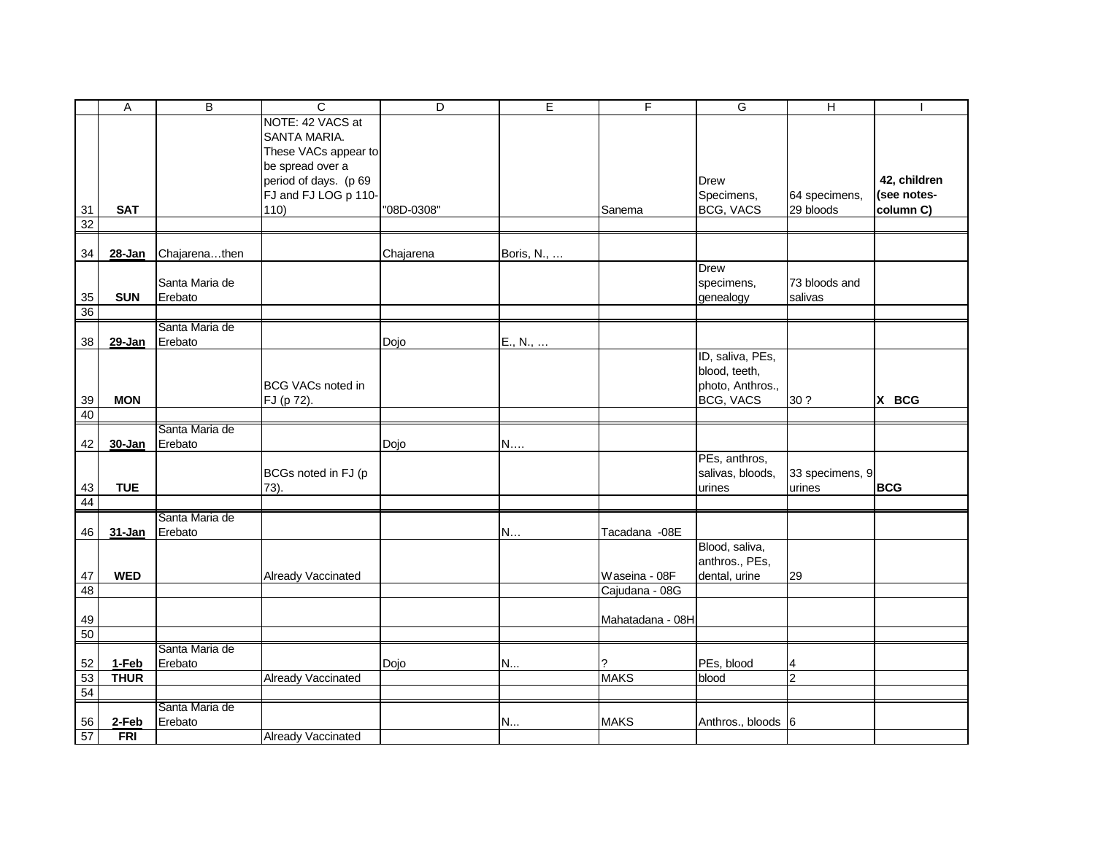|        | A           | B              | C                         | D          | E          | $\mathsf F$      | G                  | $\overline{H}$  |              |
|--------|-------------|----------------|---------------------------|------------|------------|------------------|--------------------|-----------------|--------------|
|        |             |                | NOTE: 42 VACS at          |            |            |                  |                    |                 |              |
|        |             |                | SANTA MARIA.              |            |            |                  |                    |                 |              |
|        |             |                | These VACs appear to      |            |            |                  |                    |                 |              |
|        |             |                | be spread over a          |            |            |                  |                    |                 |              |
|        |             |                | period of days. (p 69     |            |            |                  | Drew               |                 | 42, children |
|        |             |                | FJ and FJ LOG p 110-      |            |            |                  | Specimens,         | 64 specimens,   | (see notes-  |
| 31     | <b>SAT</b>  |                | 110)                      | "08D-0308" |            | Sanema           | BCG, VACS          | 29 bloods       | column C)    |
| 32     |             |                |                           |            |            |                  |                    |                 |              |
|        |             |                |                           |            |            |                  |                    |                 |              |
| 34     | $28 - Jan$  | Chajarenathen  |                           | Chajarena  | Boris, N., |                  |                    |                 |              |
|        |             |                |                           |            |            |                  | <b>Drew</b>        |                 |              |
|        |             | Santa Maria de |                           |            |            |                  | specimens,         | 73 bloods and   |              |
| $35\,$ | <b>SUN</b>  | Erebato        |                           |            |            |                  | genealogy          | salivas         |              |
| 36     |             |                |                           |            |            |                  |                    |                 |              |
|        |             | Santa Maria de |                           |            |            |                  |                    |                 |              |
| 38     | 29-Jan      | Erebato        |                           | Dojo       | E., N.,    |                  |                    |                 |              |
|        |             |                |                           |            |            |                  | ID, saliva, PEs,   |                 |              |
|        |             |                |                           |            |            |                  | blood, teeth,      |                 |              |
|        |             |                | <b>BCG VACs noted in</b>  |            |            |                  | photo, Anthros.,   |                 |              |
| 39     | <b>MON</b>  |                | FJ (p 72).                |            |            |                  | BCG, VACS          | 30 ?            | X BCG        |
| 40     |             |                |                           |            |            |                  |                    |                 |              |
|        |             | Santa Maria de |                           |            |            |                  |                    |                 |              |
| 42     | 30-Jan      | Erebato        |                           | Dojo       | N          |                  |                    |                 |              |
|        |             |                |                           |            |            |                  | PEs, anthros,      |                 |              |
|        |             |                | BCGs noted in FJ (p       |            |            |                  | salivas, bloods,   | 33 specimens, 9 |              |
| 43     | <b>TUE</b>  |                | 73).                      |            |            |                  | urines             | urines          | <b>BCG</b>   |
| 44     |             |                |                           |            |            |                  |                    |                 |              |
|        |             | Santa Maria de |                           |            |            |                  |                    |                 |              |
| 46     | 31-Jan      | Erebato        |                           |            | N          | Tacadana - 08E   |                    |                 |              |
|        |             |                |                           |            |            |                  | Blood, saliva,     |                 |              |
|        |             |                |                           |            |            |                  | anthros., PEs,     |                 |              |
| 47     | <b>WED</b>  |                | Already Vaccinated        |            |            | Waseina - 08F    | dental, urine      | 29              |              |
| 48     |             |                |                           |            |            | Cajudana - 08G   |                    |                 |              |
| 49     |             |                |                           |            |            | Mahatadana - 08H |                    |                 |              |
| 50     |             |                |                           |            |            |                  |                    |                 |              |
|        |             | Santa Maria de |                           |            |            |                  |                    |                 |              |
| 52     | 1-Feb       | Erebato        |                           | Dojo       | N          |                  | PEs, blood         | 4               |              |
| 53     | <b>THUR</b> |                | <b>Already Vaccinated</b> |            |            | <b>MAKS</b>      | blood              | $\overline{c}$  |              |
| 54     |             |                |                           |            |            |                  |                    |                 |              |
|        |             | Santa Maria de |                           |            |            |                  |                    |                 |              |
| 56     | 2-Feb       | Erebato        |                           |            | N          | <b>MAKS</b>      | Anthros., bloods 6 |                 |              |
| 57     | <b>FRI</b>  |                | <b>Already Vaccinated</b> |            |            |                  |                    |                 |              |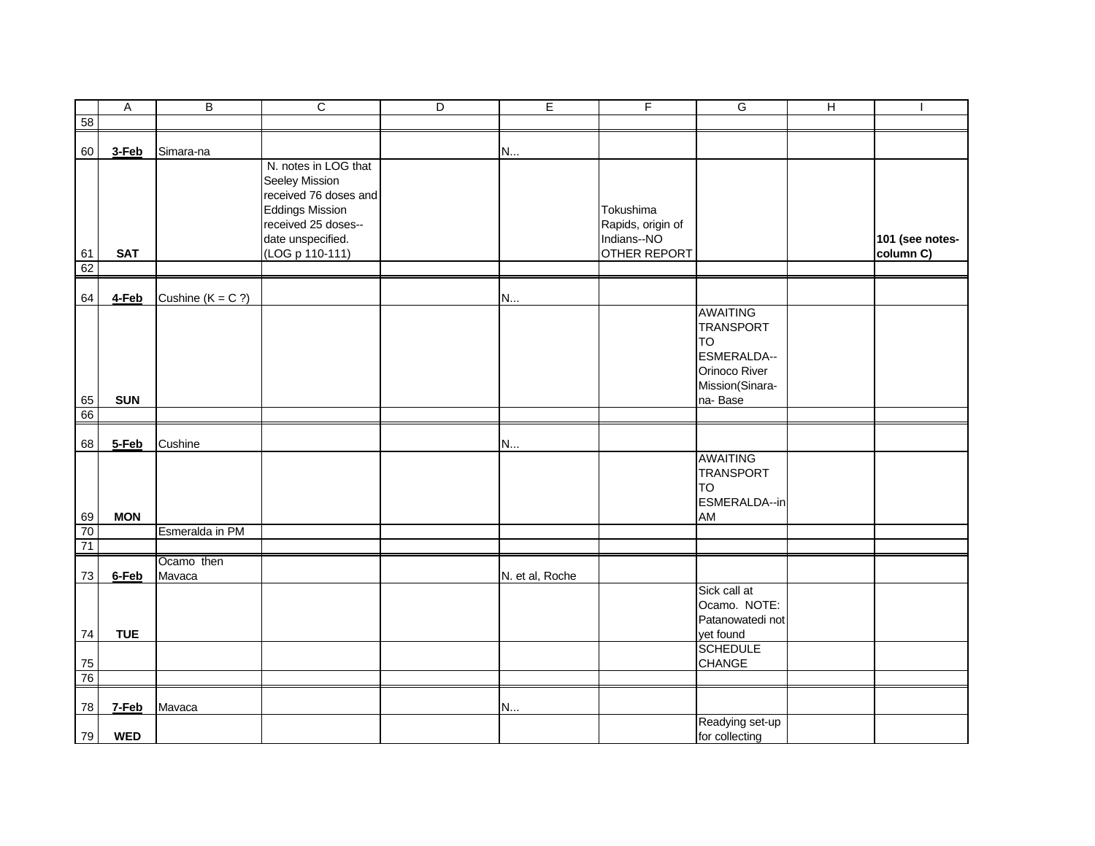|                 | $\boldsymbol{\mathsf{A}}$ | В                    | $\overline{C}$                                                                                                                        | D | $\overline{E}$  | F                                             | G                                                                                                              | $\overline{H}$ | $\overline{\phantom{a}}$ |
|-----------------|---------------------------|----------------------|---------------------------------------------------------------------------------------------------------------------------------------|---|-----------------|-----------------------------------------------|----------------------------------------------------------------------------------------------------------------|----------------|--------------------------|
| 58              |                           |                      |                                                                                                                                       |   |                 |                                               |                                                                                                                |                |                          |
| 60              | 3-Feb                     | Simara-na            |                                                                                                                                       |   | N               |                                               |                                                                                                                |                |                          |
|                 |                           |                      | N. notes in LOG that<br>Seeley Mission<br>received 76 doses and<br><b>Eddings Mission</b><br>received 25 doses--<br>date unspecified. |   |                 | Tokushima<br>Rapids, origin of<br>Indians--NO |                                                                                                                |                | 101 (see notes-          |
| 61              | <b>SAT</b>                |                      | (LOG p 110-111)                                                                                                                       |   |                 | OTHER REPORT                                  |                                                                                                                |                | column C)                |
| 62              |                           |                      |                                                                                                                                       |   |                 |                                               |                                                                                                                |                |                          |
| 64              | $4$ -Feb                  | Cushine ( $K = C$ ?) |                                                                                                                                       |   | N               |                                               |                                                                                                                |                |                          |
| 65              | <b>SUN</b>                |                      |                                                                                                                                       |   |                 |                                               | <b>AWAITING</b><br><b>TRANSPORT</b><br><b>TO</b><br>ESMERALDA--<br>Orinoco River<br>Mission(Sinara-<br>na-Base |                |                          |
| 66              |                           |                      |                                                                                                                                       |   |                 |                                               |                                                                                                                |                |                          |
| 68              | 5-Feb                     | Cushine              |                                                                                                                                       |   | N               |                                               | AWAITING                                                                                                       |                |                          |
| 69              | <b>MON</b>                |                      |                                                                                                                                       |   |                 |                                               | TRANSPORT<br><b>TO</b><br>ESMERALDA--in<br>AM                                                                  |                |                          |
| $\overline{70}$ |                           | Esmeralda in PM      |                                                                                                                                       |   |                 |                                               |                                                                                                                |                |                          |
| 71              |                           |                      |                                                                                                                                       |   |                 |                                               |                                                                                                                |                |                          |
|                 |                           | Ocamo then           |                                                                                                                                       |   |                 |                                               |                                                                                                                |                |                          |
| 73              | 6-Feb                     | Mavaca               |                                                                                                                                       |   | N. et al, Roche |                                               | Sick call at<br>Ocamo. NOTE:<br>Patanowatedi not                                                               |                |                          |
| 74              | <b>TUE</b>                |                      |                                                                                                                                       |   |                 |                                               | yet found<br><b>SCHEDULE</b>                                                                                   |                |                          |
| ${\bf 75}$      |                           |                      |                                                                                                                                       |   |                 |                                               | CHANGE                                                                                                         |                |                          |
| 76              |                           |                      |                                                                                                                                       |   |                 |                                               |                                                                                                                |                |                          |
| 78              | 7-Feb                     | Mavaca               |                                                                                                                                       |   | N               |                                               |                                                                                                                |                |                          |
| 79              | <b>WED</b>                |                      |                                                                                                                                       |   |                 |                                               | Readying set-up<br>for collecting                                                                              |                |                          |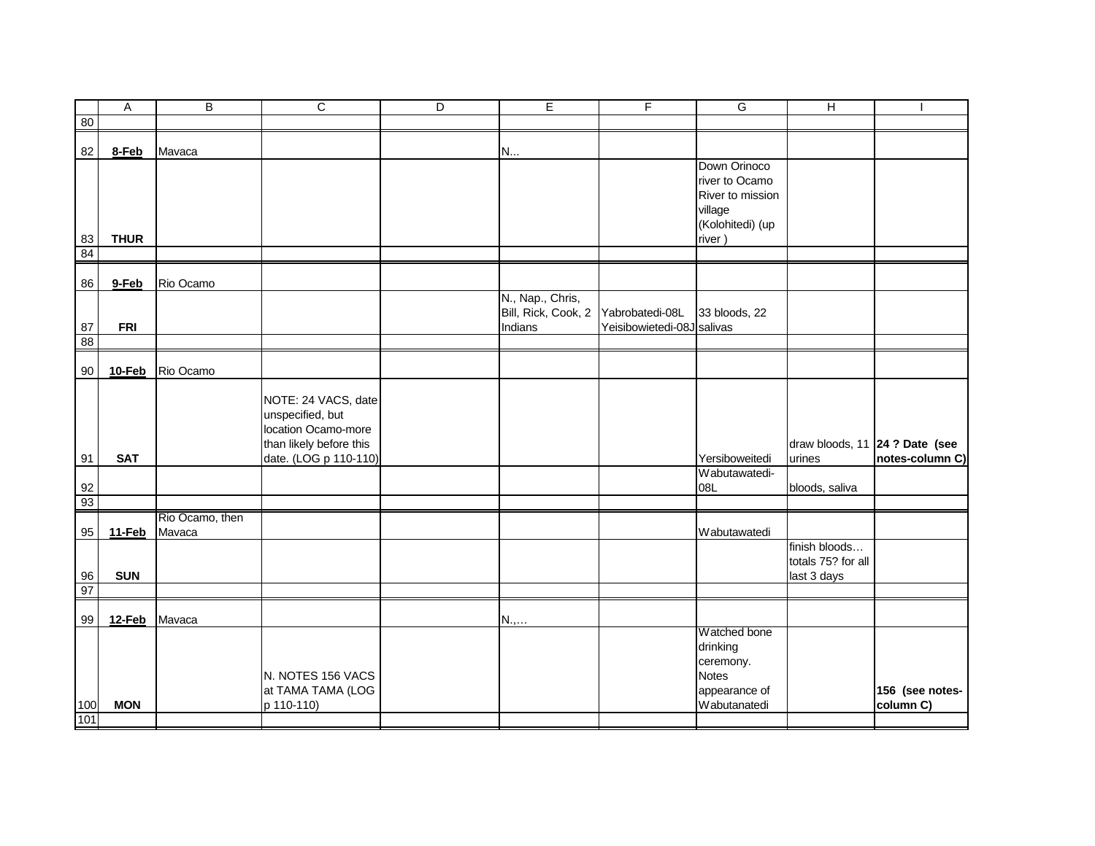|                       | Α           | B               | C                       | D | E                   | F                          | G                | н                                       |                 |
|-----------------------|-------------|-----------------|-------------------------|---|---------------------|----------------------------|------------------|-----------------------------------------|-----------------|
| 80                    |             |                 |                         |   |                     |                            |                  |                                         |                 |
|                       |             |                 |                         |   |                     |                            |                  |                                         |                 |
| 82                    | 8-Feb       | Mavaca          |                         |   | N                   |                            | Down Orinoco     |                                         |                 |
|                       |             |                 |                         |   |                     |                            | river to Ocamo   |                                         |                 |
|                       |             |                 |                         |   |                     |                            | River to mission |                                         |                 |
|                       |             |                 |                         |   |                     |                            | village          |                                         |                 |
|                       |             |                 |                         |   |                     |                            | (Kolohitedi) (up |                                         |                 |
|                       | <b>THUR</b> |                 |                         |   |                     |                            | river)           |                                         |                 |
| $\frac{83}{84}$       |             |                 |                         |   |                     |                            |                  |                                         |                 |
|                       |             |                 |                         |   |                     |                            |                  |                                         |                 |
| 86                    | 9-Feb       | Rio Ocamo       |                         |   |                     |                            |                  |                                         |                 |
|                       |             |                 |                         |   | N., Nap., Chris,    |                            |                  |                                         |                 |
|                       |             |                 |                         |   | Bill, Rick, Cook, 2 | Yabrobatedi-08L            | 33 bloods, 22    |                                         |                 |
| 87<br>$\overline{88}$ | <b>FRI</b>  |                 |                         |   | Indians             | Yeisibowietedi-08J salivas |                  |                                         |                 |
|                       |             |                 |                         |   |                     |                            |                  |                                         |                 |
| 90                    | 10-Feb      | Rio Ocamo       |                         |   |                     |                            |                  |                                         |                 |
|                       |             |                 |                         |   |                     |                            |                  |                                         |                 |
|                       |             |                 | NOTE: 24 VACS, date     |   |                     |                            |                  |                                         |                 |
|                       |             |                 | unspecified, but        |   |                     |                            |                  |                                         |                 |
|                       |             |                 | location Ocamo-more     |   |                     |                            |                  |                                         |                 |
|                       |             |                 | than likely before this |   |                     |                            |                  | draw bloods, 11 $\sqrt{24}$ ? Date (see |                 |
| 91                    | <b>SAT</b>  |                 | date. (LOG p 110-110)   |   |                     |                            | Yersiboweitedi   | urines                                  | notes-column C) |
|                       |             |                 |                         |   |                     |                            | Wabutawatedi-    |                                         |                 |
| $\frac{92}{93}$       |             |                 |                         |   |                     |                            | 08L              | bloods, saliva                          |                 |
|                       |             | Rio Ocamo, then |                         |   |                     |                            |                  |                                         |                 |
| 95                    | 11-Feb      | Mavaca          |                         |   |                     |                            | Wabutawatedi     |                                         |                 |
|                       |             |                 |                         |   |                     |                            |                  | finish bloods                           |                 |
|                       |             |                 |                         |   |                     |                            |                  | totals 75? for all                      |                 |
| 96                    | <b>SUN</b>  |                 |                         |   |                     |                            |                  | last 3 days                             |                 |
| 97                    |             |                 |                         |   |                     |                            |                  |                                         |                 |
| 99                    | 12-Feb      | Mavaca          |                         |   |                     |                            |                  |                                         |                 |
|                       |             |                 |                         |   | $N_{\cdot}, \ldots$ |                            | Watched bone     |                                         |                 |
|                       |             |                 |                         |   |                     |                            | drinking         |                                         |                 |
|                       |             |                 |                         |   |                     |                            | ceremony.        |                                         |                 |
|                       |             |                 | N. NOTES 156 VACS       |   |                     |                            | <b>Notes</b>     |                                         |                 |
|                       |             |                 | at TAMA TAMA (LOG       |   |                     |                            | appearance of    |                                         | 156 (see notes- |
| 100                   | <b>MON</b>  |                 | p 110-110)              |   |                     |                            | Wabutanatedi     |                                         | column C)       |
| 101                   |             |                 |                         |   |                     |                            |                  |                                         |                 |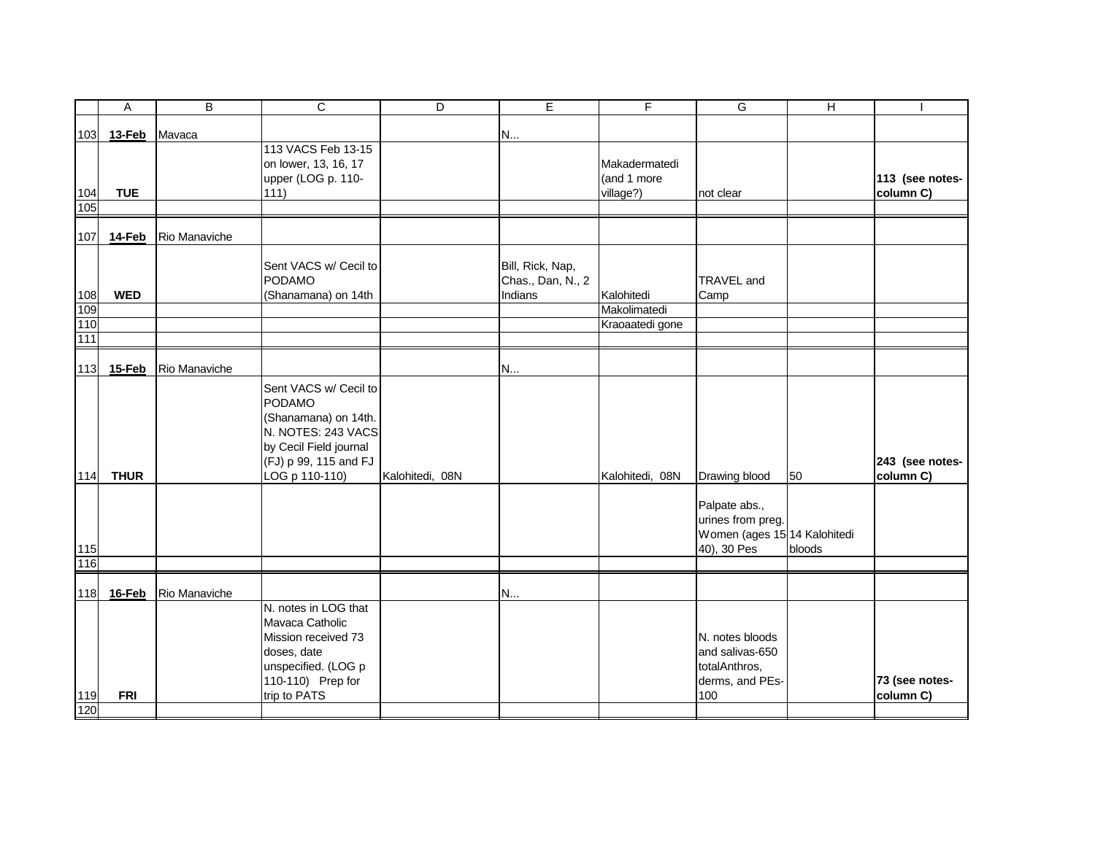|                  | Α             | B             | C                      | D               | E.                | F               | G                            | Н      |                 |
|------------------|---------------|---------------|------------------------|-----------------|-------------------|-----------------|------------------------------|--------|-----------------|
| 103              | 13-Feb        | Mavaca        |                        |                 | N                 |                 |                              |        |                 |
|                  |               |               | 113 VACS Feb 13-15     |                 |                   |                 |                              |        |                 |
|                  |               |               | on lower, 13, 16, 17   |                 |                   | Makadermatedi   |                              |        |                 |
|                  |               |               | upper (LOG p. 110-     |                 |                   | (and 1 more     |                              |        | 113 (see notes- |
| 104              | <b>TUE</b>    |               | 111)                   |                 |                   | village?)       | not clear                    |        | column C)       |
| 105              |               |               |                        |                 |                   |                 |                              |        |                 |
| 107              | <b>14-Feb</b> | Rio Manaviche |                        |                 |                   |                 |                              |        |                 |
|                  |               |               |                        |                 |                   |                 |                              |        |                 |
|                  |               |               | Sent VACS w/ Cecil to  |                 | Bill, Rick, Nap,  |                 |                              |        |                 |
|                  |               |               | PODAMO                 |                 | Chas., Dan, N., 2 |                 | TRAVEL and                   |        |                 |
| 108              | <b>WED</b>    |               | (Shanamana) on 14th    |                 | Indians           | Kalohitedi      | Camp                         |        |                 |
| 109              |               |               |                        |                 |                   | Makolimatedi    |                              |        |                 |
| $\frac{110}{1}$  |               |               |                        |                 |                   | Kraoaatedi gone |                              |        |                 |
| $\overline{111}$ |               |               |                        |                 |                   |                 |                              |        |                 |
|                  |               |               |                        |                 |                   |                 |                              |        |                 |
|                  | 113 15-Feb    | Rio Manaviche |                        |                 | N                 |                 |                              |        |                 |
|                  |               |               | Sent VACS w/ Cecil to  |                 |                   |                 |                              |        |                 |
|                  |               |               | PODAMO                 |                 |                   |                 |                              |        |                 |
|                  |               |               | (Shanamana) on 14th.   |                 |                   |                 |                              |        |                 |
|                  |               |               | N. NOTES: 243 VACS     |                 |                   |                 |                              |        |                 |
|                  |               |               | by Cecil Field journal |                 |                   |                 |                              |        |                 |
|                  |               |               | (FJ) p 99, 115 and FJ  |                 |                   |                 |                              |        | 243 (see notes- |
| 114              | <b>THUR</b>   |               | LOG p 110-110)         | Kalohitedi, 08N |                   | Kalohitedi, 08N | Drawing blood                | 50     | column C)       |
|                  |               |               |                        |                 |                   |                 |                              |        |                 |
|                  |               |               |                        |                 |                   |                 | Palpate abs.,                |        |                 |
|                  |               |               |                        |                 |                   |                 | urines from preg.            |        |                 |
|                  |               |               |                        |                 |                   |                 | Women (ages 15 14 Kalohitedi |        |                 |
| 115              |               |               |                        |                 |                   |                 | 40), 30 Pes                  | bloods |                 |
| 116              |               |               |                        |                 |                   |                 |                              |        |                 |
|                  |               |               |                        |                 |                   |                 |                              |        |                 |
|                  | 118 16-Feb    | Rio Manaviche |                        |                 | N                 |                 |                              |        |                 |
|                  |               |               | N. notes in LOG that   |                 |                   |                 |                              |        |                 |
|                  |               |               | Mavaca Catholic        |                 |                   |                 |                              |        |                 |
|                  |               |               | Mission received 73    |                 |                   |                 | N. notes bloods              |        |                 |
|                  |               |               | doses, date            |                 |                   |                 | and salivas-650              |        |                 |
|                  |               |               | unspecified. (LOG p    |                 |                   |                 | totalAnthros,                |        |                 |
|                  |               |               | 110-110) Prep for      |                 |                   |                 | derms, and PEs-              |        | 73 (see notes-  |
|                  |               |               | trip to PATS           |                 |                   |                 | 100                          |        | column C)       |
| 119              | <b>FRI</b>    |               |                        |                 |                   |                 |                              |        |                 |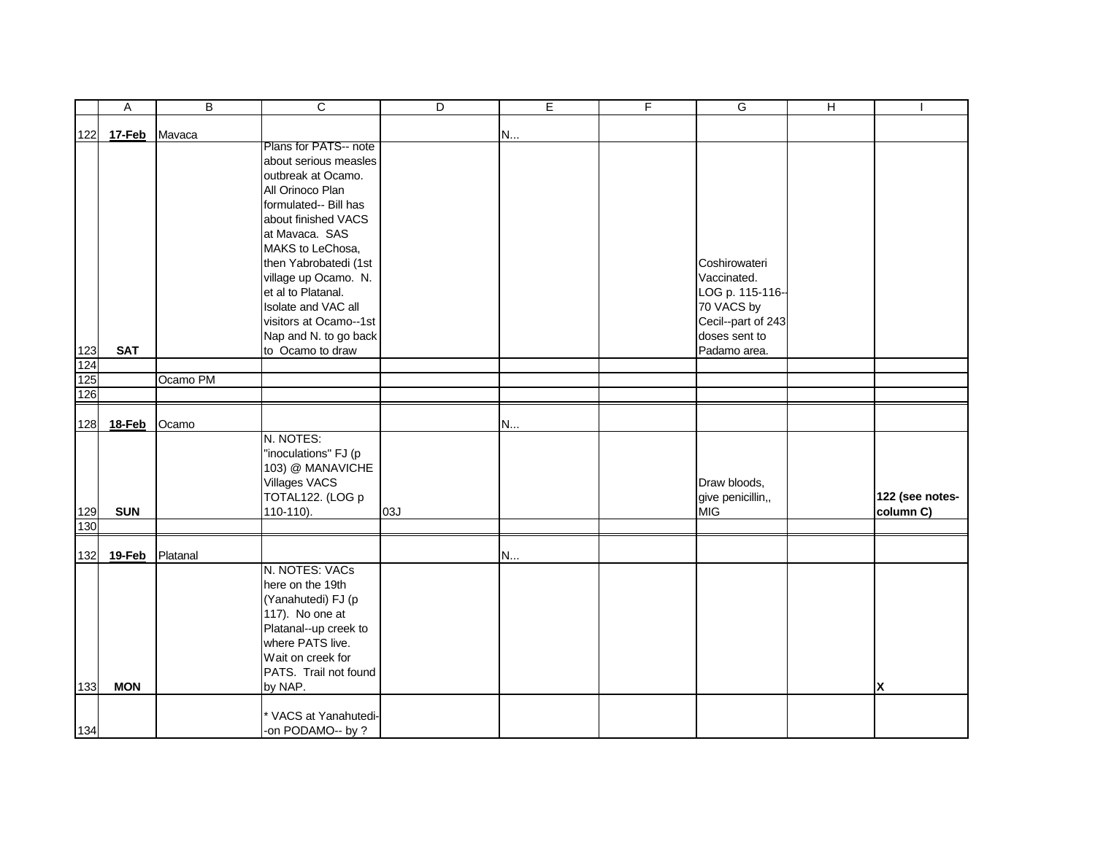|     | Α          | B        | C                                          | D   | E | F | G                  | $\overline{H}$ |                 |
|-----|------------|----------|--------------------------------------------|-----|---|---|--------------------|----------------|-----------------|
| 122 | 17-Feb     | Mavaca   |                                            |     | N |   |                    |                |                 |
|     |            |          | Plans for PATS-- note                      |     |   |   |                    |                |                 |
|     |            |          | about serious measles                      |     |   |   |                    |                |                 |
|     |            |          | outbreak at Ocamo.                         |     |   |   |                    |                |                 |
|     |            |          | All Orinoco Plan                           |     |   |   |                    |                |                 |
|     |            |          | formulated-- Bill has                      |     |   |   |                    |                |                 |
|     |            |          | about finished VACS                        |     |   |   |                    |                |                 |
|     |            |          | at Mavaca. SAS                             |     |   |   |                    |                |                 |
|     |            |          | MAKS to LeChosa,                           |     |   |   |                    |                |                 |
|     |            |          | then Yabrobatedi (1st                      |     |   |   | Coshirowateri      |                |                 |
|     |            |          | village up Ocamo. N.                       |     |   |   | Vaccinated.        |                |                 |
|     |            |          | et al to Platanal.                         |     |   |   | LOG p. 115-116-    |                |                 |
|     |            |          | Isolate and VAC all                        |     |   |   | 70 VACS by         |                |                 |
|     |            |          | visitors at Ocamo--1st                     |     |   |   | Cecil--part of 243 |                |                 |
|     |            |          | Nap and N. to go back                      |     |   |   | doses sent to      |                |                 |
| 123 | <b>SAT</b> |          | to Ocamo to draw                           |     |   |   | Padamo area.       |                |                 |
| 124 |            |          |                                            |     |   |   |                    |                |                 |
| 125 |            | Ocamo PM |                                            |     |   |   |                    |                |                 |
| 126 |            |          |                                            |     |   |   |                    |                |                 |
|     |            |          |                                            |     |   |   |                    |                |                 |
|     | 128 18-Feb | Ocamo    | N. NOTES:                                  |     | N |   |                    |                |                 |
|     |            |          | "inoculations" FJ (p                       |     |   |   |                    |                |                 |
|     |            |          | 103) @ MANAVICHE                           |     |   |   |                    |                |                 |
|     |            |          | <b>Villages VACS</b>                       |     |   |   | Draw bloods,       |                |                 |
|     |            |          | TOTAL122. (LOG p                           |     |   |   | give penicillin,,  |                | 122 (see notes- |
| 129 | <b>SUN</b> |          | 110-110).                                  | 03J |   |   | <b>MIG</b>         |                | column C)       |
| 130 |            |          |                                            |     |   |   |                    |                |                 |
|     |            |          |                                            |     |   |   |                    |                |                 |
|     | 132 19-Feb | Platanal |                                            |     | N |   |                    |                |                 |
|     |            |          | N. NOTES: VACs                             |     |   |   |                    |                |                 |
|     |            |          | here on the 19th                           |     |   |   |                    |                |                 |
|     |            |          | (Yanahutedi) FJ (p                         |     |   |   |                    |                |                 |
|     |            |          | 117). No one at                            |     |   |   |                    |                |                 |
|     |            |          | Platanal--up creek to                      |     |   |   |                    |                |                 |
|     |            |          | where PATS live.                           |     |   |   |                    |                |                 |
|     |            |          | Wait on creek for                          |     |   |   |                    |                |                 |
|     |            |          | PATS. Trail not found                      |     |   |   |                    |                |                 |
| 133 | <b>MON</b> |          | by NAP.                                    |     |   |   |                    |                | X               |
|     |            |          |                                            |     |   |   |                    |                |                 |
| 134 |            |          | * VACS at Yanahutedi-<br>-on PODAMO-- by ? |     |   |   |                    |                |                 |
|     |            |          |                                            |     |   |   |                    |                |                 |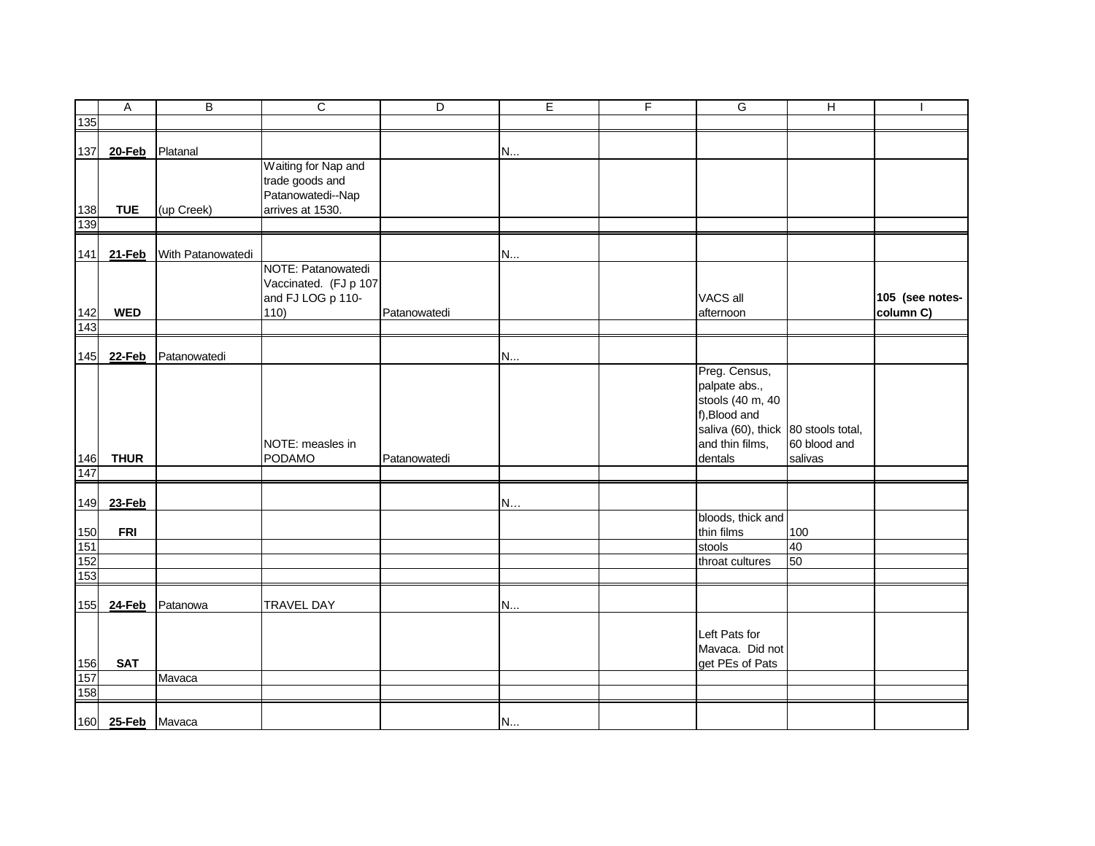|            | $\overline{A}$    | В                 | $\overline{c}$        | D            | E | $\mathsf F$ | G                                   | $\overline{H}$ | $\overline{\phantom{a}}$     |
|------------|-------------------|-------------------|-----------------------|--------------|---|-------------|-------------------------------------|----------------|------------------------------|
| 135        |                   |                   |                       |              |   |             |                                     |                |                              |
| 137        | 20-Feb            | Platanal          |                       |              |   |             |                                     |                |                              |
|            |                   |                   | Waiting for Nap and   |              | N |             |                                     |                |                              |
|            |                   |                   | trade goods and       |              |   |             |                                     |                |                              |
|            |                   |                   | Patanowatedi--Nap     |              |   |             |                                     |                |                              |
| 138        | <b>TUE</b>        | (up Creek)        | arrives at 1530.      |              |   |             |                                     |                |                              |
| 139        |                   |                   |                       |              |   |             |                                     |                |                              |
| 141        | 21-Feb            | With Patanowatedi |                       |              | N |             |                                     |                |                              |
|            |                   |                   | NOTE: Patanowatedi    |              |   |             |                                     |                |                              |
|            |                   |                   | Vaccinated. (FJ p 107 |              |   |             |                                     |                |                              |
|            | <b>WED</b>        |                   | and FJ LOG p 110-     |              |   |             | VACS all                            |                | 105 (see notes-<br>column C) |
| 142<br>143 |                   |                   | 110)                  | Patanowatedi |   |             | afternoon                           |                |                              |
|            |                   |                   |                       |              |   |             |                                     |                |                              |
| 145        | 22-Feb            | Patanowatedi      |                       |              | N |             |                                     |                |                              |
|            |                   |                   |                       |              |   |             | Preg. Census,                       |                |                              |
|            |                   |                   |                       |              |   |             | palpate abs.,                       |                |                              |
|            |                   |                   |                       |              |   |             | stools (40 m, 40                    |                |                              |
|            |                   |                   |                       |              |   |             | f), Blood and                       |                |                              |
|            |                   |                   |                       |              |   |             | saliva (60), thick 80 stools total, |                |                              |
|            |                   |                   | NOTE: measles in      |              |   |             | and thin films,                     | 60 blood and   |                              |
| 146        | <b>THUR</b>       |                   | PODAMO                | Patanowatedi |   |             | dentals                             | salivas        |                              |
| 147        |                   |                   |                       |              |   |             |                                     |                |                              |
| 149        | 23-Feb            |                   |                       |              | N |             |                                     |                |                              |
|            |                   |                   |                       |              |   |             | bloods, thick and                   |                |                              |
| 150        | <b>FRI</b>        |                   |                       |              |   |             | thin films                          | 100            |                              |
| 151        |                   |                   |                       |              |   |             | stools                              | 40             |                              |
| 152<br>153 |                   |                   |                       |              |   |             | throat cultures                     | 50             |                              |
|            |                   |                   |                       |              |   |             |                                     |                |                              |
| 155        | 24-Feb            | Patanowa          | <b>TRAVEL DAY</b>     |              | N |             |                                     |                |                              |
|            |                   |                   |                       |              |   |             | Left Pats for                       |                |                              |
|            |                   |                   |                       |              |   |             | Mavaca. Did not                     |                |                              |
| 156        | <b>SAT</b>        |                   |                       |              |   |             | get PEs of Pats                     |                |                              |
| 157        |                   | Mavaca            |                       |              |   |             |                                     |                |                              |
| 158        |                   |                   |                       |              |   |             |                                     |                |                              |
|            |                   |                   |                       |              |   |             |                                     |                |                              |
|            | 160 25-Feb Mavaca |                   |                       |              | N |             |                                     |                |                              |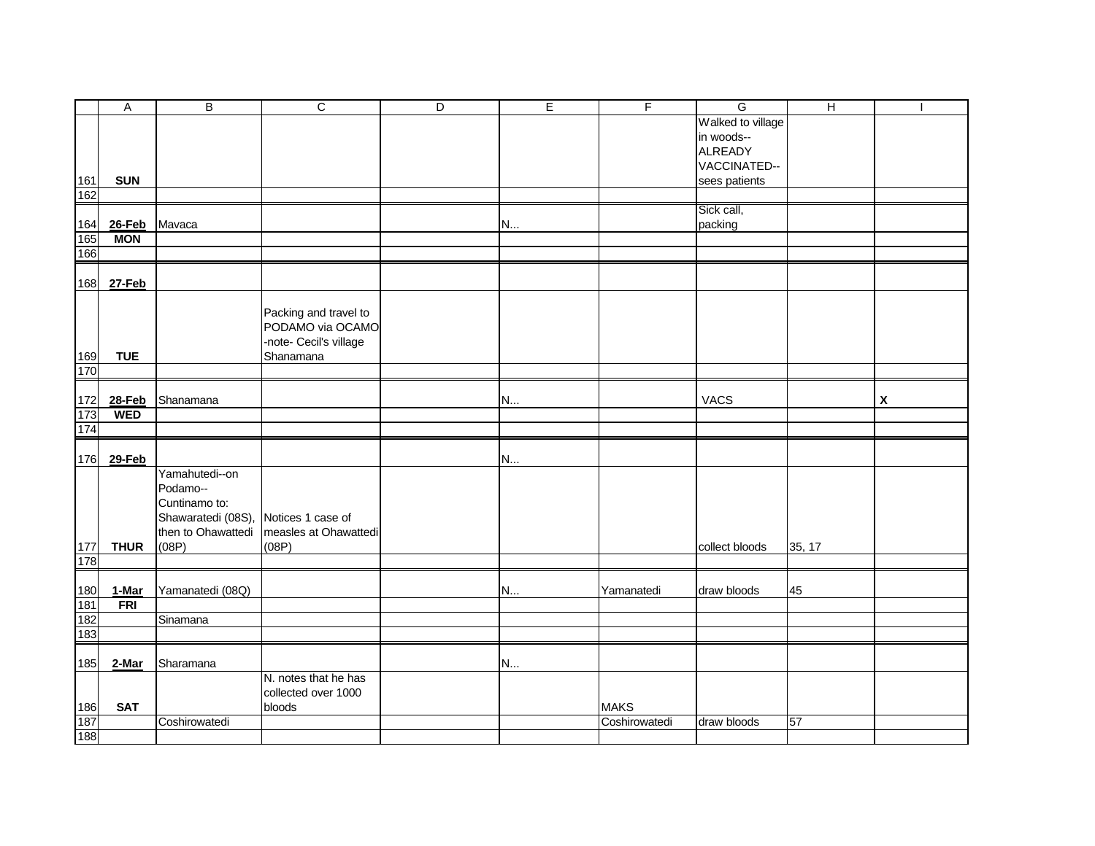|            | $\boldsymbol{\mathsf{A}}$ | B                                    | $\overline{c}$         | D | E | $\overline{F}$ | $\overline{G}$    | $\overline{H}$ | $\blacksquare$ |
|------------|---------------------------|--------------------------------------|------------------------|---|---|----------------|-------------------|----------------|----------------|
|            |                           |                                      |                        |   |   |                | Walked to village |                |                |
|            |                           |                                      |                        |   |   |                | in woods--        |                |                |
|            |                           |                                      |                        |   |   |                | <b>ALREADY</b>    |                |                |
|            |                           |                                      |                        |   |   |                | VACCINATED--      |                |                |
| 161        | <b>SUN</b>                |                                      |                        |   |   |                | sees patients     |                |                |
| 162        |                           |                                      |                        |   |   |                |                   |                |                |
|            |                           |                                      |                        |   |   |                | Sick call,        |                |                |
| 164        | <b>26-Feb</b>             | Mavaca                               |                        |   | N |                | packing           |                |                |
| 165        | <b>MON</b>                |                                      |                        |   |   |                |                   |                |                |
| 166        |                           |                                      |                        |   |   |                |                   |                |                |
|            |                           |                                      |                        |   |   |                |                   |                |                |
| 168        | 27-Feb                    |                                      |                        |   |   |                |                   |                |                |
|            |                           |                                      |                        |   |   |                |                   |                |                |
|            |                           |                                      | Packing and travel to  |   |   |                |                   |                |                |
|            |                           |                                      | PODAMO via OCAMO       |   |   |                |                   |                |                |
|            |                           |                                      | -note- Cecil's village |   |   |                |                   |                |                |
| 169<br>170 | <b>TUE</b>                |                                      | Shanamana              |   |   |                |                   |                |                |
|            |                           |                                      |                        |   |   |                |                   |                |                |
| 172        | <b>28-Feb</b>             | Shanamana                            |                        |   | N |                | <b>VACS</b>       |                | X              |
| 173        | <b>WED</b>                |                                      |                        |   |   |                |                   |                |                |
| 174        |                           |                                      |                        |   |   |                |                   |                |                |
|            |                           |                                      |                        |   |   |                |                   |                |                |
| 176        | 29-Feb                    |                                      |                        |   | N |                |                   |                |                |
|            |                           | Yamahutedi--on                       |                        |   |   |                |                   |                |                |
|            |                           | Podamo--                             |                        |   |   |                |                   |                |                |
|            |                           | Cuntinamo to:                        |                        |   |   |                |                   |                |                |
|            |                           | Shawaratedi (08S), Notices 1 case of |                        |   |   |                |                   |                |                |
|            |                           | then to Ohawattedi                   | measles at Ohawattedi  |   |   |                |                   |                |                |
| 177        | <b>THUR</b>               | (08P)                                | (08P)                  |   |   |                | collect bloods    | 35, 17         |                |
| 178        |                           |                                      |                        |   |   |                |                   |                |                |
|            |                           |                                      |                        |   |   |                |                   |                |                |
| 180        | 1-Mar                     | Yamanatedi (08Q)                     |                        |   | N | Yamanatedi     | draw bloods       | 45             |                |
| 181        | <b>FRI</b>                |                                      |                        |   |   |                |                   |                |                |
| 182        |                           | Sinamana                             |                        |   |   |                |                   |                |                |
| 183        |                           |                                      |                        |   |   |                |                   |                |                |
|            |                           |                                      |                        |   |   |                |                   |                |                |
| 185        | 2-Mar                     | Sharamana                            | N. notes that he has   |   | N |                |                   |                |                |
|            |                           |                                      | collected over 1000    |   |   |                |                   |                |                |
| 186        | <b>SAT</b>                |                                      | bloods                 |   |   | <b>MAKS</b>    |                   |                |                |
| 187        |                           | Coshirowatedi                        |                        |   |   | Coshirowatedi  | draw bloods       | 57             |                |
| 188        |                           |                                      |                        |   |   |                |                   |                |                |
|            |                           |                                      |                        |   |   |                |                   |                |                |